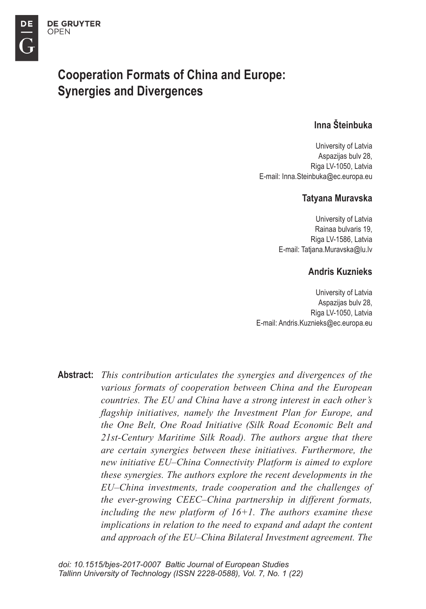DE

# **Cooperation Formats of China and Europe: Synergies and Divergences**

### Inna Šteinhuka

University of Latvia Aspazijas bulv 28, Riga LV-1050, Latvia E-mail: Inna.Steinbuka@ec.europa.eu

#### Tatvana Muravska

University of Latvia Rainaa bulvaris 19. Riga LV-1586, Latvia E-mail: Tatjana.Muravska@lu.lv

#### **Andris Kuznieks**

University of Latvia Aspazijas bulv 28, Riga LV-1050, Latvia E-mail: Andris.Kuznieks@ec.europa.eu

**Abstract:** This contribution articulates the synergies and divergences of the various formats of cooperation between China and the European countries. The EU and China have a strong interest in each other's flagship initiatives, namely the Investment Plan for Europe, and the One Belt, One Road Initiative (Silk Road Economic Belt and 21st-Century Maritime Silk Road). The authors argue that there are certain synergies between these initiatives. Furthermore, the new initiative EU–China Connectivity Platform is aimed to explore these synergies. The authors explore the recent developments in the EU–China investments, trade cooperation and the challenges of the ever-growing CEEC-China partnership in different formats, including the new platform of  $16+1$ . The authors examine these implications in relation to the need to expand and adapt the content and approach of the EU–China Bilateral Investment agreement. The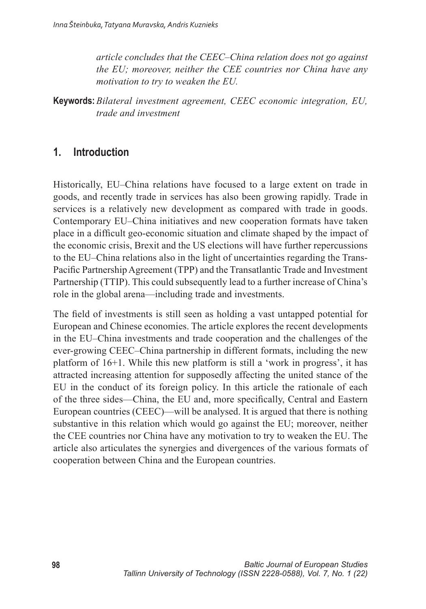article concludes that the CEEC–China relation does not go against the EU; moreover, neither the CEE countries nor China have any motivation to try to weaken the EU.

**Keywords:** Bilateral investment agreement. CEEC economic integration. EU. trade and investment

#### $\mathbf{1}$ **Introduction**

Historically, EU-China relations have focused to a large extent on trade in goods, and recently trade in services has also been growing rapidly. Trade in services is a relatively new development as compared with trade in goods. Contemporary EU–China initiatives and new cooperation formats have taken place in a difficult geo-economic situation and climate shaped by the impact of the economic crisis, Brexit and the US elections will have further repercussions to the EU–China relations also in the light of uncertainties regarding the Trans-Pacific Partnership Agreement (TPP) and the Transatlantic Trade and Investment Partnership (TTIP). This could subsequently lead to a further increase of China's role in the global arena—including trade and investments.

The field of investments is still seen as holding a vast untapped potential for European and Chinese economies. The article explores the recent developments in the EU–China investments and trade cooperation and the challenges of the ever-growing CEEC–China partnership in different formats, including the new platform of 16+1. While this new platform is still a 'work in progress', it has attracted increasing attention for supposedly affecting the united stance of the EU in the conduct of its foreign policy. In this article the rationale of each of the three sides—China, the EU and, more specifically, Central and Eastern European countries (CEEC)—will be analysed. It is argued that there is nothing substantive in this relation which would go against the EU; moreover, neither the CEE countries nor China have any motivation to try to weaken the EU. The article also articulates the synergies and divergences of the various formats of cooperation between China and the European countries.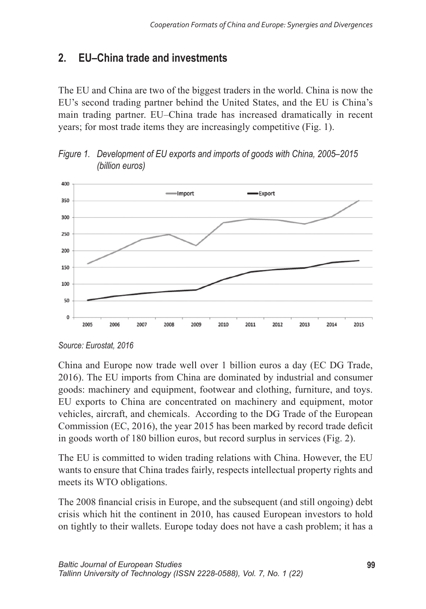#### $\overline{2}$ FU-China trade and investments

The EU and China are two of the biggest traders in the world. China is now the EU's second trading partner behind the United States, and the EU is China's main trading partner. EU–China trade has increased dramatically in recent years; for most trade items they are increasingly competitive (Fig. 1).



Figure 1. Development of EU exports and imports of goods with China, 2005–2015 (billion euros)

China and Europe now trade well over 1 billion euros a day (EC DG Trade, 2016). The EU imports from China are dominated by industrial and consumer goods: machinery and equipment, footwear and clothing, furniture, and toys. EU exports to China are concentrated on machinery and equipment, motor vehicles, aircraft, and chemicals. According to the DG Trade of the European Commission (EC, 2016), the year 2015 has been marked by record trade deficit in goods worth of 180 billion euros, but record surplus in services (Fig. 2).

The EU is committed to widen trading relations with China. However, the EU wants to ensure that China trades fairly, respects intellectual property rights and meets its WTO obligations.

The 2008 financial crisis in Europe, and the subsequent (and still ongoing) debt crisis which hit the continent in 2010, has caused European investors to hold on tightly to their wallets. Europe today does not have a cash problem; it has a

Source: Eurostat. 2016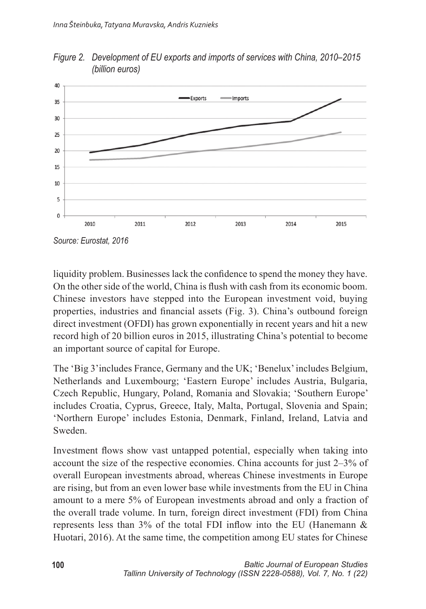

Figure 2. Development of EU exports and imports of services with China, 2010–2015 (billion euros)

liquidity problem. Businesses lack the confidence to spend the money they have. On the other side of the world, China is flush with cash from its economic boom. Chinese investors have stepped into the European investment void, buying properties, industries and financial assets (Fig. 3). China's outbound foreign direct investment (OFDI) has grown exponentially in recent years and hit a new record high of 20 billion euros in 2015, illustrating China's potential to become an important source of capital for Europe.

The 'Big 3' includes France, Germany and the UK; 'Benelux' includes Belgium, Netherlands and Luxembourg; 'Eastern Europe' includes Austria, Bulgaria, Czech Republic, Hungary, Poland, Romania and Slovakia; 'Southern Europe' includes Croatia, Cyprus, Greece, Italy, Malta, Portugal, Slovenia and Spain; 'Northern Europe' includes Estonia, Denmark, Finland, Ireland, Latvia and Sweden

Investment flows show vast untapped potential, especially when taking into account the size of the respective economies. China accounts for just 2–3% of overall European investments abroad, whereas Chinese investments in Europe are rising, but from an even lower base while investments from the EU in China amount to a mere 5% of European investments abroad and only a fraction of the overall trade volume. In turn, foreign direct investment (FDI) from China represents less than  $3\%$  of the total FDI inflow into the EU (Hanemann & Huotari, 2016). At the same time, the competition among EU states for Chinese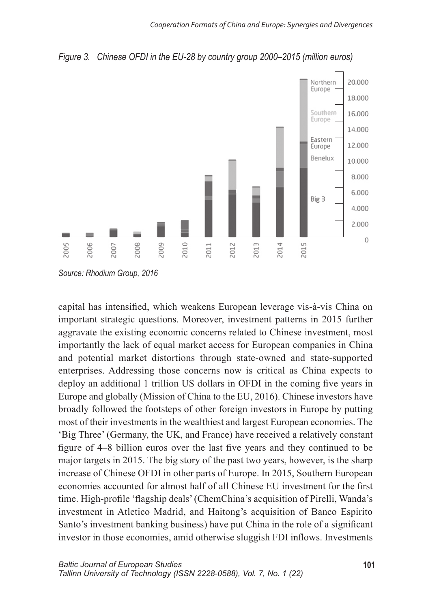



Source: Rhodium Group, 2016

capital has intensified, which weakens European leverage vis-à-vis China on important strategic questions. Moreover, investment patterns in 2015 further aggravate the existing economic concerns related to Chinese investment, most importantly the lack of equal market access for European companies in China and potential market distortions through state-owned and state-supported enterprises. Addressing those concerns now is critical as China expects to deploy an additional 1 trillion US dollars in OFDI in the coming five years in Europe and globally (Mission of China to the EU, 2016). Chinese investors have broadly followed the footsteps of other foreign investors in Europe by putting most of their investments in the wealthiest and largest European economies. The 'Big Three' (Germany, the UK, and France) have received a relatively constant figure of 4–8 billion euros over the last five years and they continued to be major targets in 2015. The big story of the past two years, however, is the sharp increase of Chinese OFDI in other parts of Europe. In 2015, Southern European economies accounted for almost half of all Chinese EU investment for the first time. High-profile 'flagship deals' (ChemChina's acquisition of Pirelli, Wanda's investment in Atletico Madrid, and Haitong's acquisition of Banco Espirito Santo's investment banking business) have put China in the role of a significant investor in those economies, amid otherwise sluggish FDI inflows. Investments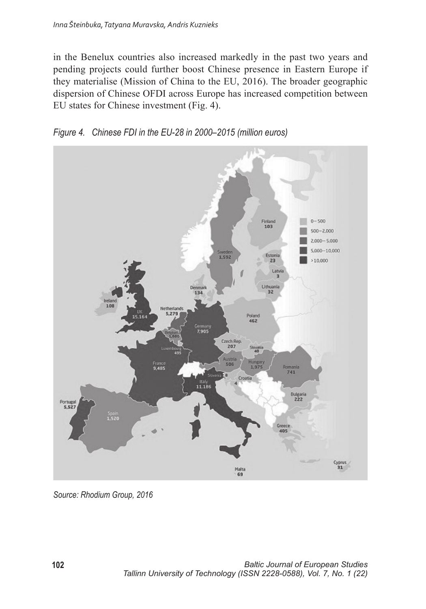in the Benelux countries also increased markedly in the past two years and pending projects could further boost Chinese presence in Eastern Europe if they materialise (Mission of China to the EU, 2016). The broader geographic dispersion of Chinese OFDI across Europe has increased competition between EU states for Chinese investment (Fig. 4).





Source: Rhodium Group, 2016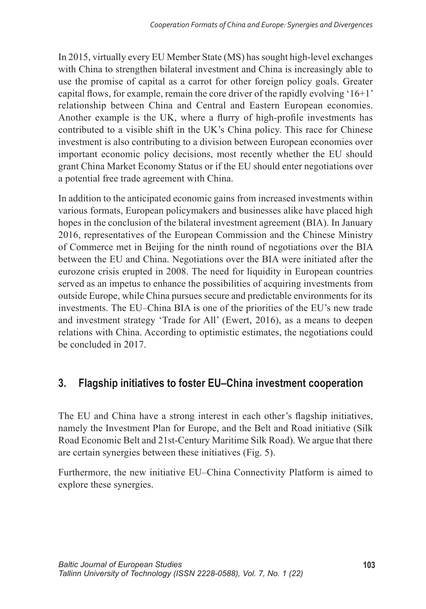In 2015, virtually every EU Member State (MS) has sought high-level exchanges with China to strengthen bilateral investment and China is increasingly able to use the promise of capital as a carrot for other foreign policy goals. Greater capital flows, for example, remain the core driver of the rapidly evolving  $16+1$ relationship between China and Central and Eastern European economies. Another example is the UK, where a flurry of high-profile investments has contributed to a visible shift in the UK's China policy. This race for Chinese investment is also contributing to a division between European economies over important economic policy decisions, most recently whether the EU should grant China Market Economy Status or if the EU should enter negotiations over a potential free trade agreement with China.

In addition to the anticipated economic gains from increased investments within various formats, European policymakers and businesses alike have placed high hopes in the conclusion of the bilateral investment agreement (BIA). In January 2016, representatives of the European Commission and the Chinese Ministry of Commerce met in Beijing for the ninth round of negotiations over the BIA between the EU and China. Negotiations over the BIA were initiated after the eurozone crisis erupted in 2008. The need for liquidity in European countries served as an impetus to enhance the possibilities of acquiring investments from outside Europe, while China pursues secure and predictable environments for its investments. The EU–China BIA is one of the priorities of the EU's new trade and investment strategy 'Trade for All' (Ewert, 2016), as a means to deepen relations with China. According to optimistic estimates, the negotiations could be concluded in 2017.

#### Flagship initiatives to foster EU-China investment cooperation  $3<sub>1</sub>$

The EU and China have a strong interest in each other's flagship initiatives, namely the Investment Plan for Europe, and the Belt and Road initiative (Silk Road Economic Belt and 21st-Century Maritime Silk Road). We argue that there are certain synergies between these initiatives (Fig. 5).

Furthermore, the new initiative EU–China Connectivity Platform is aimed to explore these synergies.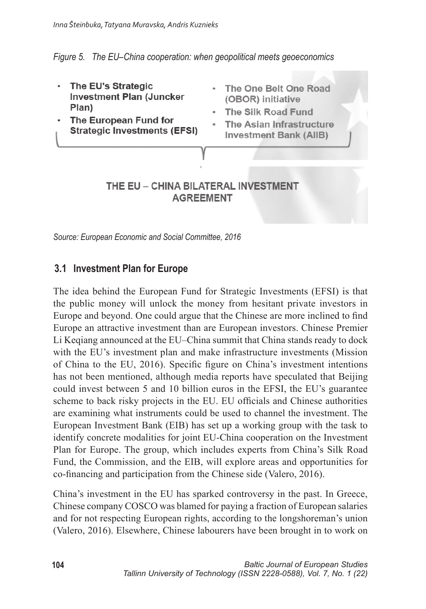#### Figure 5. The EU–China cooperation: when geopolitical meets geoeconomics

- The EU's Strategic **Investment Plan (Juncker)** Plan)
- The European Fund for **Strategic Investments (EFSI)**
- . The One Belt One Road (OBOR) initiative
- . The Silk Road Fund
- The Asian Infrastructure **Investment Bank (AIIB)**

#### THE EU - CHINA BILATERAL INVESTMENT **AGREEMENT**

Source: European Economic and Social Committee, 2016

### 3.1 Investment Plan for Europe

The idea behind the European Fund for Strategic Investments (EFSI) is that the public money will unlock the money from hesitant private investors in Europe and beyond. One could argue that the Chinese are more inclined to find Europe an attractive investment than are European investors. Chinese Premier Li Kegiang announced at the EU–China summit that China stands ready to dock with the EU's investment plan and make infrastructure investments (Mission of China to the EU, 2016). Specific figure on China's investment intentions has not been mentioned, although media reports have speculated that Beijing could invest between 5 and 10 billion euros in the EFSI, the EU's guarantee scheme to back risky projects in the EU. EU officials and Chinese authorities are examining what instruments could be used to channel the investment. The European Investment Bank (EIB) has set up a working group with the task to identify concrete modalities for joint EU-China cooperation on the Investment Plan for Europe. The group, which includes experts from China's Silk Road Fund, the Commission, and the EIB, will explore areas and opportunities for co-financing and participation from the Chinese side (Valero, 2016).

China's investment in the EU has sparked controversy in the past. In Greece, Chinese company COSCO was blamed for paying a fraction of European salaries and for not respecting European rights, according to the longshoreman's union (Valero, 2016). Elsewhere, Chinese labourers have been brought in to work on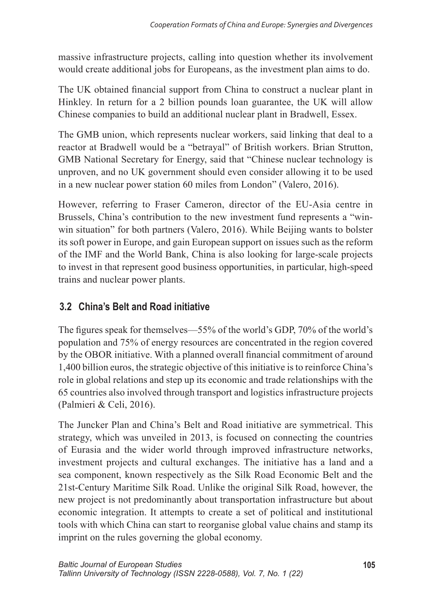massive infrastructure projects, calling into question whether its involvement would create additional jobs for Europeans, as the investment plan aims to do.

The UK obtained financial support from China to construct a nuclear plant in Hinkley. In return for a 2 billion pounds loan guarantee, the UK will allow Chinese companies to build an additional nuclear plant in Bradwell, Essex.

The GMB union, which represents nuclear workers, said linking that deal to a reactor at Bradwell would be a "betraval" of British workers. Brian Strutton, GMB National Secretary for Energy, said that "Chinese nuclear technology is unproven, and no UK government should even consider allowing it to be used in a new nuclear power station 60 miles from London" (Valero, 2016).

However, referring to Fraser Cameron, director of the EU-Asia centre in Brussels, China's contribution to the new investment fund represents a "winwin situation" for both partners (Valero, 2016). While Beijing wants to bolster its soft power in Europe, and gain European support on issues such as the reform of the IMF and the World Bank, China is also looking for large-scale projects to invest in that represent good business opportunities, in particular, high-speed trains and nuclear power plants.

## 3.2 China's Belt and Road initiative

The figures speak for themselves—55% of the world's GDP, 70% of the world's population and 75% of energy resources are concentrated in the region covered by the OBOR initiative. With a planned overall financial commitment of around 1,400 billion euros, the strategic objective of this initiative is to reinforce China's role in global relations and step up its economic and trade relationships with the 65 countries also involved through transport and logistics infrastructure projects (Palmieri & Celi, 2016).

The Juncker Plan and China's Belt and Road initiative are symmetrical. This strategy, which was unveiled in 2013, is focused on connecting the countries of Eurasia and the wider world through improved infrastructure networks, investment projects and cultural exchanges. The initiative has a land and a sea component, known respectively as the Silk Road Economic Belt and the 21st-Century Maritime Silk Road. Unlike the original Silk Road, however, the new project is not predominantly about transportation infrastructure but about economic integration. It attempts to create a set of political and institutional tools with which China can start to reorganise global value chains and stamp its imprint on the rules governing the global economy.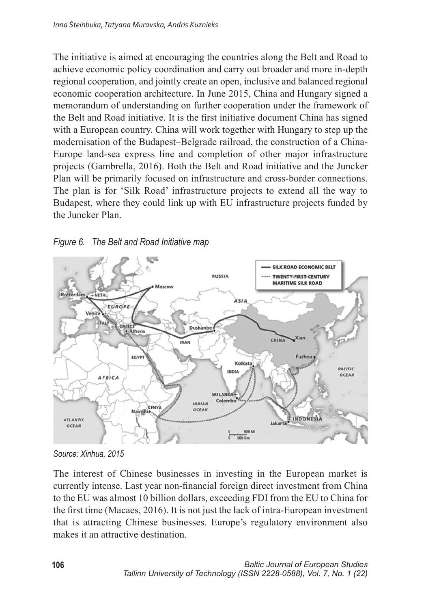The initiative is aimed at encouraging the countries along the Belt and Road to achieve economic policy coordination and carry out broader and more in-depth regional cooperation, and jointly create an open, inclusive and balanced regional economic cooperation architecture. In June 2015, China and Hungary signed a memorandum of understanding on further cooperation under the framework of the Belt and Road initiative. It is the first initiative document China has signed with a European country. China will work together with Hungary to step up the modernisation of the Budapest-Belgrade railroad, the construction of a China-Europe land-sea express line and completion of other major infrastructure projects (Gambrella, 2016). Both the Belt and Road initiative and the Juncker Plan will be primarily focused on infrastructure and cross-border connections. The plan is for 'Silk Road' infrastructure projects to extend all the way to Budapest, where they could link up with EU infrastructure projects funded by the Juncker Plan





Source: Xinhua, 2015

The interest of Chinese businesses in investing in the European market is currently intense. Last year non-financial foreign direct investment from China to the EU was almost 10 billion dollars, exceeding FDI from the EU to China for the first time (Macaes, 2016). It is not just the lack of intra-European investment that is attracting Chinese businesses. Europe's regulatory environment also makes it an attractive destination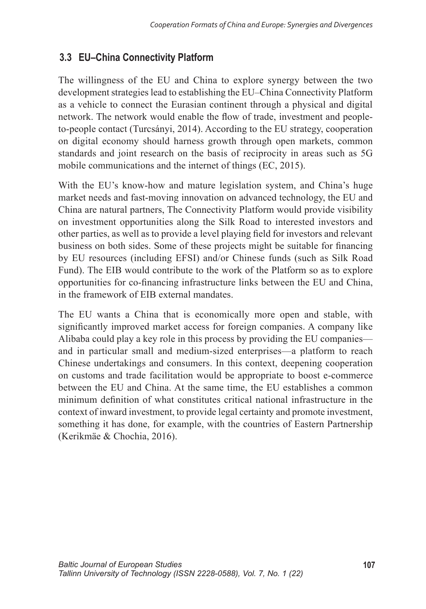## 3.3 EU-China Connectivity Platform

The willingness of the EU and China to explore synergy between the two development strategies lead to establishing the EU–China Connectivity Platform as a vehicle to connect the Eurasian continent through a physical and digital network. The network would enable the flow of trade, investment and peopleto-people contact (Turcsányi, 2014). According to the EU strategy, cooperation on digital economy should harness growth through open markets, common standards and joint research on the basis of reciprocity in areas such as 5G mobile communications and the internet of things (EC, 2015).

With the EU's know-how and mature legislation system, and China's huge market needs and fast-moving innovation on advanced technology, the EU and China are natural partners, The Connectivity Platform would provide visibility on investment opportunities along the Silk Road to interested investors and other parties, as well as to provide a level playing field for investors and relevant business on both sides. Some of these projects might be suitable for financing by EU resources (including EFSI) and/or Chinese funds (such as Silk Road Fund). The EIB would contribute to the work of the Platform so as to explore opportunities for co-financing infrastructure links between the EU and China, in the framework of EIB external mandates

The EU wants a China that is economically more open and stable, with significantly improved market access for foreign companies. A company like Alibaba could play a key role in this process by providing the EU companies and in particular small and medium-sized enterprises—a platform to reach Chinese undertakings and consumers. In this context, deepening cooperation on customs and trade facilitation would be appropriate to boost e-commerce between the EU and China. At the same time, the EU establishes a common minimum definition of what constitutes critical national infrastructure in the context of inward investment, to provide legal certainty and promote investment, something it has done, for example, with the countries of Eastern Partnership (Kerikmäe & Chochia, 2016).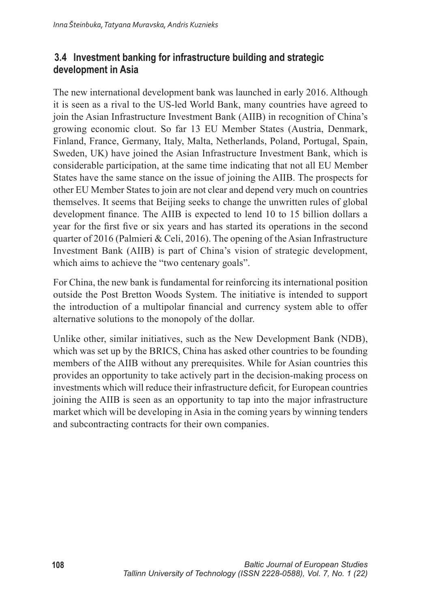### 3.4 Investment banking for infrastructure building and strategic development in Asia

The new international development bank was launched in early 2016. Although it is seen as a rival to the US-led World Bank, many countries have agreed to join the Asian Infrastructure Investment Bank (AIIB) in recognition of China's growing economic clout. So far 13 EU Member States (Austria, Denmark, Finland, France, Germany, Italy, Malta, Netherlands, Poland, Portugal, Spain, Sweden, UK) have joined the Asian Infrastructure Investment Bank, which is considerable participation, at the same time indicating that not all EU Member States have the same stance on the issue of joining the AIIB. The prospects for other EU Member States to join are not clear and depend very much on countries themselves. It seems that Beijing seeks to change the unwritten rules of global development finance. The AIIB is expected to lend 10 to 15 billion dollars a year for the first five or six years and has started its operations in the second quarter of 2016 (Palmieri & Celi, 2016). The opening of the Asian Infrastructure Investment Bank (AIIB) is part of China's vision of strategic development, which aims to achieve the "two centenary goals".

For China, the new bank is fundamental for reinforcing its international position outside the Post Bretton Woods System. The initiative is intended to support the introduction of a multipolar financial and currency system able to offer alternative solutions to the monopoly of the dollar.

Unlike other, similar initiatives, such as the New Development Bank (NDB), which was set up by the BRICS. China has asked other countries to be founding members of the AIIB without any prerequisites. While for Asian countries this provides an opportunity to take actively part in the decision-making process on investments which will reduce their infrastructure deficit, for European countries joining the AIIB is seen as an opportunity to tap into the major infrastructure market which will be developing in Asia in the coming years by winning tenders and subcontracting contracts for their own companies.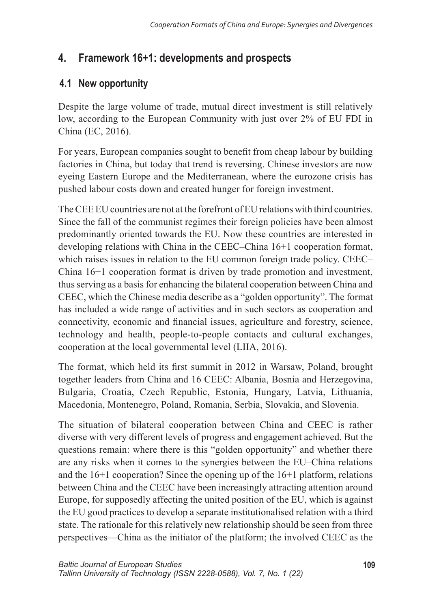## 4. Framework 16+1: developments and prospects

## 4.1 New opportunity

Despite the large volume of trade, mutual direct investment is still relatively low, according to the European Community with just over 2% of EU FDI in China (EC, 2016).

For years, European companies sought to benefit from cheap labour by building factories in China, but today that trend is reversing. Chinese investors are now eyeing Eastern Europe and the Mediterranean, where the eurozone crisis has pushed labour costs down and created hunger for foreign investment.

The CEE EU countries are not at the forefront of EU relations with third countries. Since the fall of the communist regimes their foreign policies have been almost predominantly oriented towards the EU. Now these countries are interested in developing relations with China in the CEEC–China 16+1 cooperation format, which raises issues in relation to the EU common foreign trade policy. CEEC-China  $16+1$  cooperation format is driven by trade promotion and investment, thus serving as a basis for enhancing the bilateral cooperation between China and CEEC, which the Chinese media describe as a "golden opportunity". The format has included a wide range of activities and in such sectors as cooperation and connectivity, economic and financial issues, agriculture and forestry, science, technology and health, people-to-people contacts and cultural exchanges, cooperation at the local governmental level (LIIA, 2016).

The format, which held its first summit in 2012 in Warsaw, Poland, brought together leaders from China and 16 CEEC: Albania, Bosnia and Herzegovina, Bulgaria, Croatia, Czech Republic, Estonia, Hungary, Latvia, Lithuania, Macedonia, Montenegro, Poland, Romania, Serbia, Slovakia, and Slovenia.

The situation of bilateral cooperation between China and CEEC is rather diverse with very different levels of progress and engagement achieved. But the questions remain: where there is this "golden opportunity" and whether there are any risks when it comes to the synergies between the EU–China relations and the  $16+1$  cooperation? Since the opening up of the  $16+1$  platform, relations between China and the CEEC have been increasingly attracting attention around Europe, for supposedly affecting the united position of the EU, which is against the EU good practices to develop a separate institutionalised relation with a third state. The rationale for this relatively new relationship should be seen from three perspectives—China as the initiator of the platform; the involved CEEC as the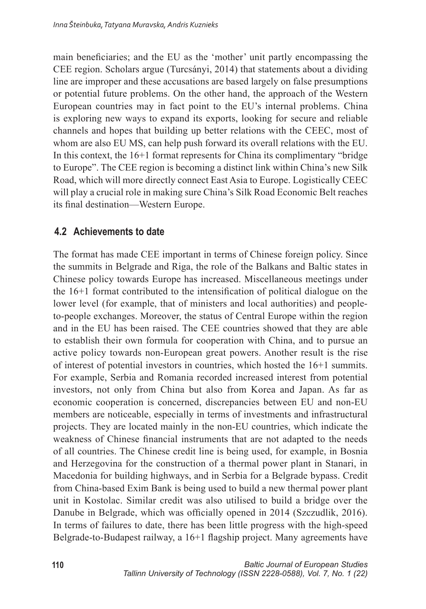main beneficiaries; and the EU as the 'mother' unit partly encompassing the CEE region. Scholars argue (Turcsányi, 2014) that statements about a dividing line are improper and these accusations are based largely on false presumptions or potential future problems. On the other hand, the approach of the Western European countries may in fact point to the EU's internal problems. China is exploring new ways to expand its exports, looking for secure and reliable channels and hopes that building up better relations with the CEEC, most of whom are also EU MS, can help push forward its overall relations with the EU. In this context, the  $16+1$  format represents for China its complimentary "bridge" to Europe". The CEE region is becoming a distinct link within China's new Silk Road, which will more directly connect East Asia to Europe. Logistically CEEC will play a crucial role in making sure China's Silk Road Economic Belt reaches its final destination—Western Europe.

### 4.2 Achievements to date

The format has made CEE important in terms of Chinese foreign policy. Since the summits in Belgrade and Riga, the role of the Balkans and Baltic states in Chinese policy towards Europe has increased. Miscellaneous meetings under the 16+1 format contributed to the intensification of political dialogue on the lower level (for example, that of ministers and local authorities) and peopleto-people exchanges. Moreover, the status of Central Europe within the region and in the EU has been raised. The CEE countries showed that they are able to establish their own formula for cooperation with China, and to pursue an active policy towards non-European great powers. Another result is the rise of interest of potential investors in countries, which hosted the 16+1 summits. For example, Serbia and Romania recorded increased interest from potential investors, not only from China but also from Korea and Japan. As far as economic cooperation is concerned, discrepancies between EU and non-EU members are noticeable, especially in terms of investments and infrastructural projects. They are located mainly in the non-EU countries, which indicate the weakness of Chinese financial instruments that are not adapted to the needs of all countries. The Chinese credit line is being used, for example, in Bosnia and Herzegovina for the construction of a thermal power plant in Stanari, in Macedonia for building highways, and in Serbia for a Belgrade bypass. Credit from China-based Exim Bank is being used to build a new thermal power plant unit in Kostolac. Similar credit was also utilised to build a bridge over the Danube in Belgrade, which was officially opened in 2014 (Szczudlik, 2016). In terms of failures to date, there has been little progress with the high-speed Belgrade-to-Budapest railway, a 16+1 flagship project. Many agreements have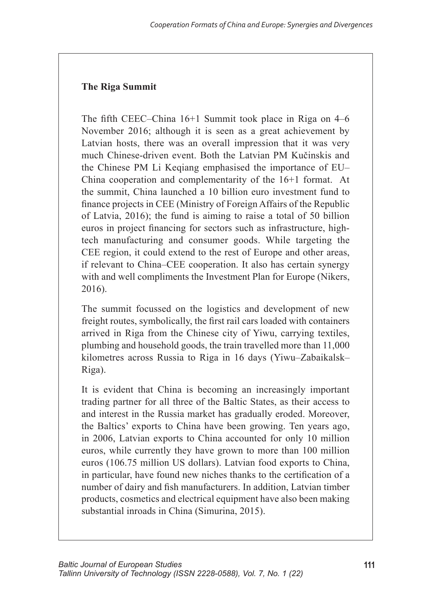#### **The Riga Summit**

The fifth CEEC–China 16+1 Summit took place in Riga on 4–6 November 2016; although it is seen as a great achievement by Latvian hosts, there was an overall impression that it was very much Chinese-driven event. Both the Latvian PM Kučinskis and the Chinese PM Li Kegiang emphasised the importance of EU-China cooperation and complementarity of the 16+1 format. At the summit, China launched a 10 billion euro investment fund to finance projects in CEE (Ministry of Foreign Affairs of the Republic of Latvia, 2016); the fund is aiming to raise a total of 50 billion euros in project financing for sectors such as infrastructure, hightech manufacturing and consumer goods. While targeting the CEE region, it could extend to the rest of Europe and other areas. if relevant to China–CEE cooperation. It also has certain synergy with and well compliments the Investment Plan for Europe (Nikers,  $2016$ ).

The summit focussed on the logistics and development of new freight routes, symbolically, the first rail cars loaded with containers arrived in Riga from the Chinese city of Yiwu, carrying textiles, plumbing and household goods, the train travelled more than 11,000 kilometres across Russia to Riga in 16 days (Yiwu-Zabaikalsk-Riga).

It is evident that China is becoming an increasingly important trading partner for all three of the Baltic States, as their access to and interest in the Russia market has gradually eroded. Moreover, the Baltics' exports to China have been growing. Ten years ago, in 2006, Latvian exports to China accounted for only 10 million euros, while currently they have grown to more than 100 million euros (106.75 million US dollars). Latvian food exports to China, in particular, have found new niches thanks to the certification of a number of dairy and fish manufacturers. In addition, Latvian timber products, cosmetics and electrical equipment have also been making substantial inroads in China (Simurina, 2015).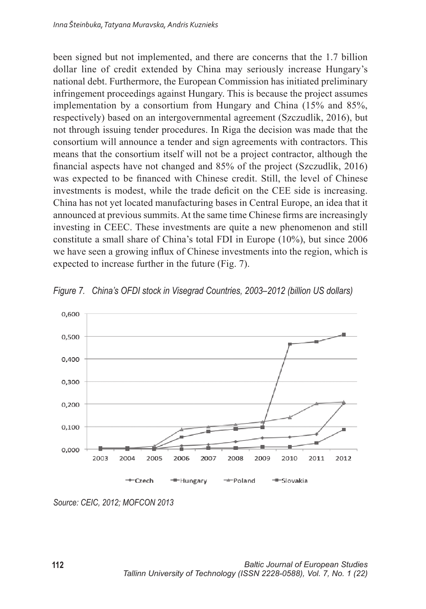been signed but not implemented, and there are concerns that the 1.7 billion dollar line of credit extended by China may seriously increase Hungary's national debt. Furthermore, the European Commission has initiated preliminary infringement proceedings against Hungary. This is because the project assumes implementation by a consortium from Hungary and China (15% and 85%, respectively) based on an intergovernmental agreement (Szczudlik, 2016), but not through issuing tender procedures. In Riga the decision was made that the consortium will announce a tender and sign agreements with contractors. This means that the consortium itself will not be a project contractor, although the financial aspects have not changed and 85% of the project (Szczudlik, 2016) was expected to be financed with Chinese credit. Still, the level of Chinese investments is modest, while the trade deficit on the CEE side is increasing. China has not yet located manufacturing bases in Central Europe, an idea that it announced at previous summits. At the same time Chinese firms are increasingly investing in CEEC. These investments are quite a new phenomenon and still constitute a small share of China's total FDI in Europe (10%), but since 2006 we have seen a growing influx of Chinese investments into the region, which is expected to increase further in the future (Fig. 7).



Figure 7. China's OFDI stock in Visegrad Countries, 2003-2012 (billion US dollars)

Source: CEIC, 2012; MOFCON 2013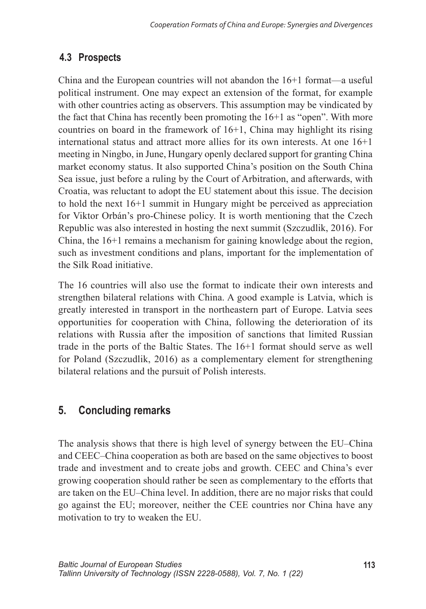## 4.3 Prospects

China and the European countries will not abandon the  $16+1$  format—a useful political instrument. One may expect an extension of the format, for example with other countries acting as observers. This assumption may be vindicated by the fact that China has recently been promoting the 16+1 as "open". With more countries on board in the framework of  $16+1$ . China may highlight its rising international status and attract more allies for its own interests. At one  $16+1$ meeting in Ningbo, in June, Hungary openly declared support for granting China market economy status. It also supported China's position on the South China Sea issue, just before a ruling by the Court of Arbitration, and afterwards, with Croatia, was reluctant to adopt the EU statement about this issue. The decision to hold the next  $16+1$  summit in Hungary might be perceived as appreciation for Viktor Orbán's pro-Chinese policy. It is worth mentioning that the Czech Republic was also interested in hosting the next summit (Szczudlik, 2016). For China, the 16+1 remains a mechanism for gaining knowledge about the region, such as investment conditions and plans, important for the implementation of the Silk Road initiative

The 16 countries will also use the format to indicate their own interests and strengthen bilateral relations with China. A good example is Latvia, which is greatly interested in transport in the northeastern part of Europe. Latvia sees opportunities for cooperation with China, following the deterioration of its relations with Russia after the imposition of sanctions that limited Russian trade in the ports of the Baltic States. The 16+1 format should serve as well for Poland (Szczudlik, 2016) as a complementary element for strengthening bilateral relations and the pursuit of Polish interests.

#### **Concluding remarks**  $5<sub>1</sub>$

The analysis shows that there is high level of synergy between the EU–China and CEEC–China cooperation as both are based on the same objectives to boost trade and investment and to create jobs and growth. CEEC and China's ever growing cooperation should rather be seen as complementary to the efforts that are taken on the EU–China level. In addition, there are no major risks that could go against the EU; moreover, neither the CEE countries nor China have any motivation to try to weaken the EU.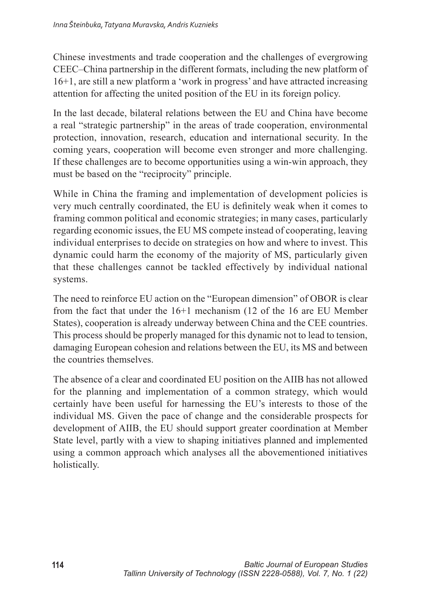Chinese investments and trade cooperation and the challenges of evergrowing CEEC–China partnership in the different formats, including the new platform of 16+1, are still a new platform a 'work in progress' and have attracted increasing attention for affecting the united position of the EU in its foreign policy.

In the last decade, bilateral relations between the EU and China have become a real "strategic partnership" in the areas of trade cooperation, environmental protection, innovation, research, education and international security. In the coming years, cooperation will become even stronger and more challenging. If these challenges are to become opportunities using a win-win approach, they must be based on the "reciprocity" principle.

While in China the framing and implementation of development policies is very much centrally coordinated, the EU is definitely weak when it comes to framing common political and economic strategies; in many cases, particularly regarding economic issues, the EU MS compete instead of cooperating, leaving individual enterprises to decide on strategies on how and where to invest. This dynamic could harm the economy of the majority of MS, particularly given that these challenges cannot be tackled effectively by individual national systems.

The need to reinforce EU action on the "European dimension" of OBOR is clear from the fact that under the  $16+1$  mechanism (12 of the 16 are EU Member States), cooperation is already underway between China and the CEE countries. This process should be properly managed for this dynamic not to lead to tension, damaging European cohesion and relations between the EU, its MS and between the countries themselves

The absence of a clear and coordinated EU position on the AIIB has not allowed for the planning and implementation of a common strategy, which would certainly have been useful for harnessing the EU's interests to those of the individual MS. Given the pace of change and the considerable prospects for development of AIIB, the EU should support greater coordination at Member State level, partly with a view to shaping initiatives planned and implemented using a common approach which analyses all the abovementioned initiatives holistically.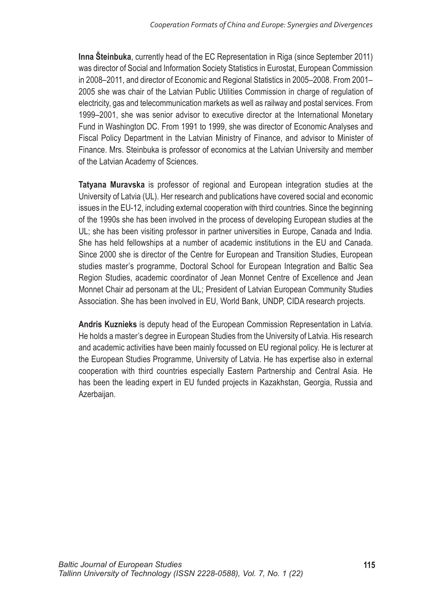Inna Šteinbuka, currently head of the EC Representation in Riga (since September 2011) was director of Social and Information Society Statistics in Eurostat, European Commission in 2008-2011, and director of Economic and Regional Statistics in 2005-2008. From 2001-2005 she was chair of the Latvian Public Utilities Commission in charge of regulation of electricity, gas and telecommunication markets as well as railway and postal services. From 1999-2001. she was senior advisor to executive director at the International Monetary Fund in Washington DC. From 1991 to 1999, she was director of Economic Analyses and Fiscal Policy Department in the Latvian Ministry of Finance, and advisor to Minister of Finance. Mrs. Steinbuka is professor of economics at the Latvian University and member of the Latvian Academy of Sciences.

Tatyana Muravska is professor of regional and European integration studies at the University of Latvia (UL). Her research and publications have covered social and economic issues in the EU-12, including external cooperation with third countries. Since the beginning of the 1990s she has been involved in the process of developing European studies at the UL; she has been visiting professor in partner universities in Europe, Canada and India. She has held fellowships at a number of academic institutions in the EU and Canada. Since 2000 she is director of the Centre for European and Transition Studies, European studies master's programme, Doctoral School for European Integration and Baltic Sea Region Studies, academic coordinator of Jean Monnet Centre of Excellence and Jean Monnet Chair ad personam at the UL; President of Latvian European Community Studies Association. She has been involved in EU, World Bank, UNDP, CIDA research projects.

Andris Kuznieks is deputy head of the European Commission Representation in Latvia. He holds a master's degree in European Studies from the University of Latvia. His research and academic activities have been mainly focussed on EU regional policy. He is lecturer at the European Studies Programme, University of Latvia. He has expertise also in external cooperation with third countries especially Eastern Partnership and Central Asia. He has been the leading expert in EU funded projects in Kazakhstan, Georgia, Russia and Azerbaijan.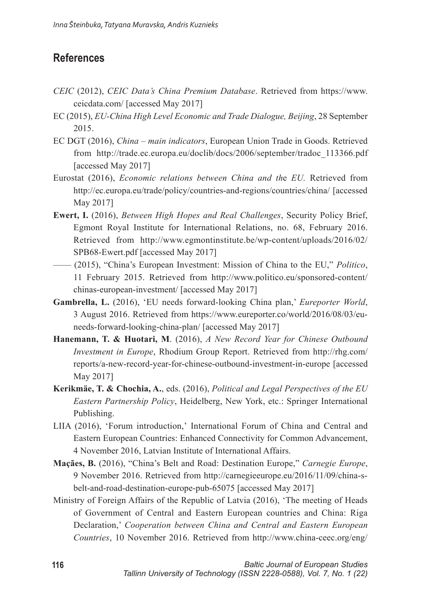## **References**

- CEIC (2012), CEIC Data's China Premium Database. Retrieved from https://www. ceicdata.com/ [accessed May 2017]
- EC (2015). EU-China High Level Economic and Trade Dialogue, Beijing, 28 September 2015
- EC DGT (2016), China main indicators, European Union Trade in Goods. Retrieved from http://trade.ec.europa.eu/doclib/docs/2006/september/tradoc 113366.pdf [accessed May 2017]
- Eurostat (2016), *Economic relations between China and the EU*. Retrieved from http://ec.europa.eu/trade/policy/countries-and-regions/countries/china/ [accessed May 20171
- **Ewert, I.** (2016), *Between High Hopes and Real Challenges*, Security Policy Brief, Egmont Royal Institute for International Relations, no. 68, February 2016. Retrieved from http://www.egmontinstitute.be/wp-content/uploads/2016/02/ SPB68-Ewert.pdf [accessed May 2017]
- (2015), "China's European Investment: Mission of China to the EU," Politico, 11 February 2015. Retrieved from http://www.politico.eu/sponsored-content/ chinas-european-investment/ [accessed May 2017]
- Gambrella, L. (2016), 'EU needs forward-looking China plan,' Eureporter World, 3 August 2016. Retrieved from https://www.eureporter.co/world/2016/08/03/euneeds-forward-looking-china-plan/ [accessed May 2017]
- Hanemann, T. & Huotari, M. (2016), A New Record Year for Chinese Outbound *Investment in Europe*, Rhodium Group Report. Retrieved from http://rhg.com/ reports/a-new-record-year-for-chinese-outbound-investment-in-europe [accessed] May 2017]
- Kerikmäe, T. & Chochia, A., eds. (2016), Political and Legal Perspectives of the EU *Eastern Partnership Policy*, Heidelberg, New York, etc.: Springer International Publishing.
- LIIA (2016), 'Forum introduction,' International Forum of China and Central and Eastern European Countries: Enhanced Connectivity for Common Advancement, 4 November 2016, Latvian Institute of International Affairs.
- Maçães, B. (2016), "China's Belt and Road: Destination Europe," Carnegie Europe, 9 November 2016. Retrieved from http://carnegieeurope.eu/2016/11/09/china-sbelt-and-road-destination-europe-pub-65075 [accessed May 2017]
- Ministry of Foreign Affairs of the Republic of Latvia (2016), 'The meeting of Heads of Government of Central and Eastern European countries and China: Riga Declaration,' Cooperation between China and Central and Eastern European Countries, 10 November 2016. Retrieved from http://www.china-ceec.org/eng/